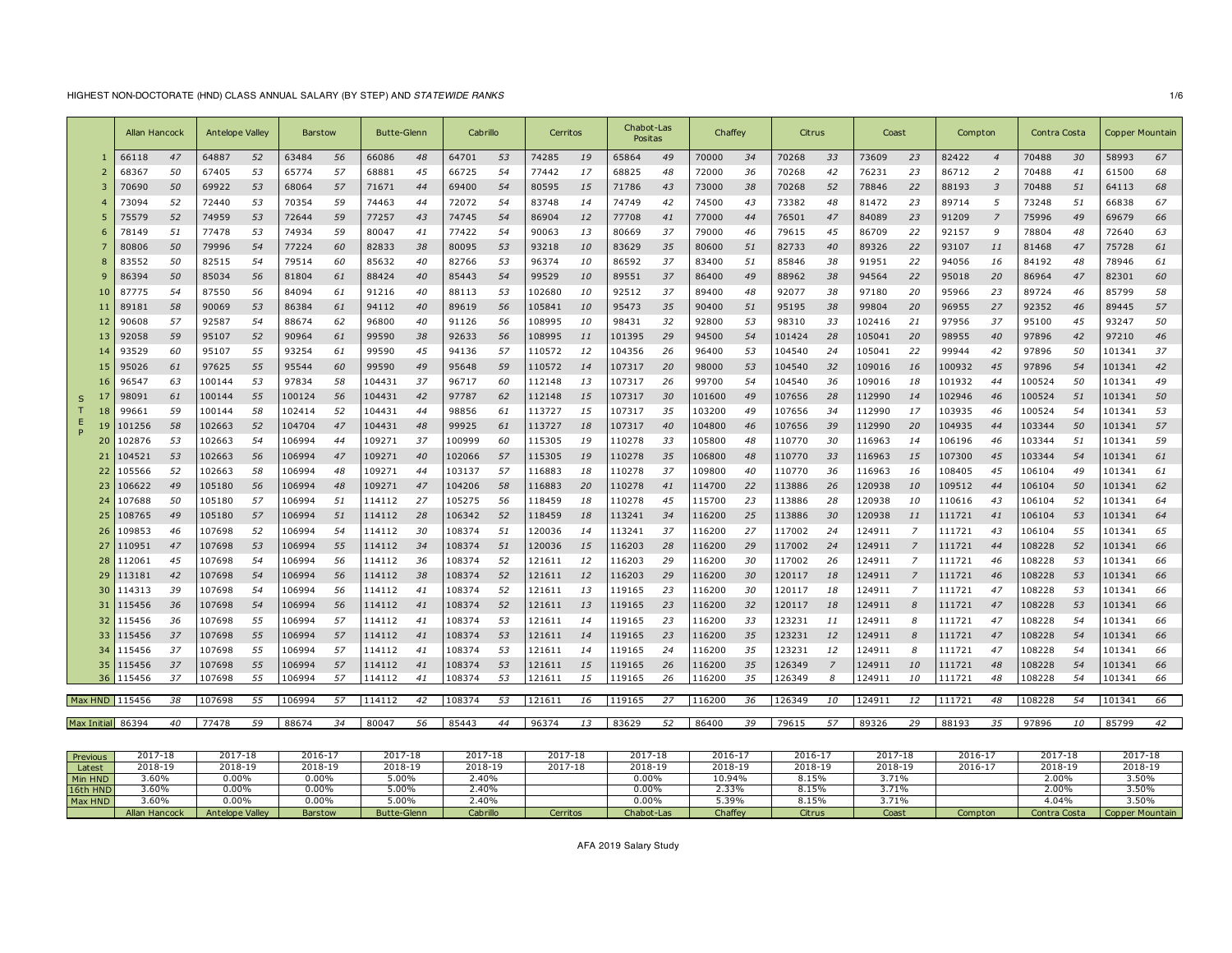### HIGHEST NON-DOCTORATE (HND) CLASS ANNUAL SALARY (BY STEP) AND *STATEWIDE RANKS* 1/6

|          | Allan Hancock     |         | <b>Antelope Valley</b> |    | <b>Barstow</b> |    | <b>Butte-Glenn</b> |    | Cabrillo |    | Cerritos |           | Chabot-Las<br>Positas |    | Chaffev |    | Citrus  |    | Coast   |                | Compton |                         | Contra Costa |    | <b>Copper Mountain</b> |         |
|----------|-------------------|---------|------------------------|----|----------------|----|--------------------|----|----------|----|----------|-----------|-----------------------|----|---------|----|---------|----|---------|----------------|---------|-------------------------|--------------|----|------------------------|---------|
|          | 66118             | 47      | 64887                  | 52 | 63484          | 56 | 66086              | 48 | 64701    | 53 | 74285    | 19        | 65864                 | 49 | 70000   | 34 | 70268   | 33 | 73609   | 23             | 82422   | $\overline{4}$          | 70488        | 30 | 58993                  | 67      |
|          | 68367             | 50      | 67405                  | 53 | 65774          | 57 | 68881              | 45 | 66725    | 54 | 77442    | 17        | 68825                 | 48 | 72000   | 36 | 70268   | 42 | 76231   | 23             | 86712   | 2                       | 70488        | 41 | 61500                  | 68      |
|          | 70690             | 50      | 69922                  | 53 | 68064          | 57 | 71671              | 44 | 69400    | 54 | 80595    | 15        | 71786                 | 43 | 73000   | 38 | 70268   | 52 | 78846   | 22             | 88193   | $\overline{\mathbf{3}}$ | 70488        | 51 | 64113                  | 68      |
|          | 73094             | 52      | 72440                  | 53 | 70354          | 59 | 74463              | 44 | 72072    | 54 | 83748    | 14        | 74749                 | 42 | 74500   | 43 | 73382   | 48 | 81472   | 23             | 89714   | 5                       | 73248        | 51 | 66838                  | 67      |
|          | 75579             | 52      | 74959                  | 53 | 72644          | 59 | 77257              | 43 | 74745    | 54 | 86904    | 12        | 77708                 | 41 | 77000   | 44 | 76501   | 47 | 84089   | 23             | 91209   | $\overline{7}$          | 75996        | 49 | 69679                  | 66      |
|          | 78149             | 51      | 77478                  | 53 | 74934          | 59 | 80047              | 41 | 77422    | 54 | 90063    | 13        | 80669                 | 37 | 79000   | 46 | 79615   | 45 | 86709   | 22             | 92157   | 9                       | 78804        | 48 | 72640                  | 63      |
|          | 80806             | 50      | 79996                  | 54 | 77224          | 60 | 82833              | 38 | 80095    | 53 | 93218    | 10        | 83629                 | 35 | 80600   | 51 | 82733   | 40 | 89326   | 22             | 93107   | 11                      | 81468        | 47 | 75728                  | 61      |
|          | 83552             | 50      | 82515                  | 54 | 79514          | 60 | 85632              | 40 | 82766    | 53 | 96374    | 10        | 86592                 | 37 | 83400   | 51 | 85846   | 38 | 91951   | 22             | 94056   | 16                      | 84192        | 48 | 78946                  | 61      |
|          | 86394             | 50      | 85034                  | 56 | 81804          | 61 | 88424              | 40 | 85443    | 54 | 99529    | 10        | 89551                 | 37 | 86400   | 49 | 88962   | 38 | 94564   | 22             | 95018   | 20                      | 86964        | 47 | 82301                  | 60      |
|          | 87775             | 54      | 87550                  | 56 | 84094          | 61 | 91216              | 40 | 88113    | 53 | 102680   | 10        | 92512                 | 37 | 89400   | 48 | 92077   | 38 | 97180   | 20             | 95966   | 23                      | 89724        | 46 | 85799                  | 58      |
|          | 89181             | 58      | 90069                  | 53 | 86384          | 61 | 94112              | 40 | 89619    | 56 | 105841   | <i>10</i> | 95473                 | 35 | 90400   | 51 | 95195   | 38 | 99804   | 20             | 96955   | 27                      | 92352        | 46 | 89445                  | 57      |
| 12       | 90608             | 57      | 92587                  | 54 | 88674          | 62 | 96800              | 40 | 91126    | 56 | 108995   | 10        | 98431                 | 32 | 92800   | 53 | 98310   | 33 | 102416  | 21             | 97956   | 37                      | 95100        | 45 | 93247                  | 50      |
| 13       | 92058             | 59      | 95107                  | 52 | 90964          | 61 | 99590              | 38 | 92633    | 56 | 108995   | 11        | 101395                | 29 | 94500   | 54 | 101424  | 28 | 105041  | 20             | 98955   | 40                      | 97896        | 42 | 97210                  | 46      |
|          | 93529             | 60      | 95107                  | 55 | 93254          | 61 | 99590              | 45 | 94136    | 57 | 110572   | 12        | 104356                | 26 | 96400   | 53 | 104540  | 24 | 105041  | 22             | 99944   | 42                      | 97896        | 50 | 101341                 | 37      |
|          | 95026             | 61      | 97625                  | 55 | 95544          | 60 | 99590              | 49 | 95648    | 59 | 110572   | 14        | 107317                | 20 | 98000   | 53 | 104540  | 32 | 109016  | 16             | 100932  | 45                      | 97896        | 54 | 101341                 | 42      |
| 16       | 96547             | 63      | 100144                 | 53 | 97834          | 58 | 104431             | 37 | 96717    | 60 | 112148   | 13        | 107317                | 26 | 99700   | 54 | 104540  | 36 | 109016  | 18             | 101932  | 44                      | 100524       | 50 | 101341                 | 49      |
| S        | 98091             | 61      | 100144                 | 55 | 100124         | 56 | 104431             | 42 | 97787    | 62 | 112148   | 15        | 107317                | 30 | 101600  | 49 | 107656  | 28 | 112990  | 14             | 102946  | 46                      | 100524       | 51 | 101341                 | 50      |
|          | 99661             | 59      | 100144                 | 58 | 102414         | 52 | 104431             | 44 | 98856    | 61 | 113727   | 15        | 107317                | 35 | 103200  | 49 | 107656  | 34 | 112990  | 17             | 103935  | 46                      | 100524       | 54 | 101341                 | 53      |
| Е        | 101256            | 58      | 102663                 | 52 | 104704         | 47 | 104431             | 48 | 99925    | 61 | 113727   | 18        | 107317                | 40 | 104800  | 46 | 107656  | 39 | 112990  | 20             | 104935  | 44                      | 103344       | 50 | 101341                 | 57      |
| 20       | 102876            | 53      | 102663                 | 54 | 106994         | 44 | 109271             | 37 | 100999   | 60 | 115305   | 19        | 110278                | 33 | 105800  | 48 | 110770  | 30 | 116963  | 14             | 106196  | 46                      | 103344       | 51 | 101341                 | 59      |
| 21       | 104521            | 53      | 102663                 | 56 | 106994         | 47 | 109271             | 40 | 102066   | 57 | 115305   | 19        | 110278                | 35 | 106800  | 48 | 110770  | 33 | 116963  | 15             | 107300  | 45                      | 103344       | 54 | 101341                 | 61      |
|          | 105566            | 52      | 102663                 | 58 | 106994         | 48 | 109271             | 44 | 103137   | 57 | 116883   | 18        | 110278                | 37 | 109800  | 40 | 110770  | 36 | 116963  | 16             | 108405  | 45                      | 106104       | 49 | 101341                 | 61      |
| 23       | 106622            | 49      | 105180                 | 56 | 106994         | 48 | 109271             | 47 | 104206   | 58 | 116883   | 20        | 110278                | 41 | 114700  | 22 | 113886  | 26 | 120938  | 10             | 109512  | 44                      | 106104       | 50 | 101341                 | 62      |
| 24       | 107688            | 50      | 105180                 | 57 | 106994         | 51 | 114112             | 27 | 105275   | 56 | 118459   | 18        | 110278                | 45 | 115700  | 23 | 113886  | 28 | 120938  | 10             | 110616  | 43                      | 106104       | 52 | 101341                 | 64      |
| 25       | 108765            | 49      | 105180                 | 57 | 106994         | 51 | 114112             | 28 | 106342   | 52 | 118459   | 18        | 113241                | 34 | 116200  | 25 | 113886  | 30 | 120938  | 11             | 111721  | 41                      | 106104       | 53 | 101341                 | 64      |
| 26       | 109853            | 46      | 107698                 | 52 | 106994         | 54 | 114112             | 30 | 108374   | 51 | 120036   | 14        | 113241                | 37 | 116200  | 27 | 117002  | 24 | 124911  |                | 111721  | 43                      | 106104       | 55 | 101341                 | 65      |
| 27       | 110951            | 47      | 107698                 | 53 | 106994         | 55 | 114112             | 34 | 108374   | 51 | 120036   | 15        | 116203                | 28 | 116200  | 29 | 117002  | 24 | 124911  | $\overline{z}$ | 111721  | 44                      | 108228       | 52 | 101341                 | 66      |
| 28       | 112061            | 45      | 107698                 | 54 | 106994         | 56 | 114112             | 36 | 108374   | 52 | 121611   | 12        | 116203                | 29 | 116200  | 30 | 117002  | 26 | 124911  | 7              | 111721  | 46                      | 108228       | 53 | 101341                 | 66      |
| 29       | 113181            | 42      | 107698                 | 54 | 106994         | 56 | 114112             | 38 | 108374   | 52 | 121611   | 12        | 116203                | 29 | 116200  | 30 | 120117  | 18 | 124911  |                | 111721  | 46                      | 108228       | 53 | 101341                 | 66      |
| 30       | 114313            | 39      | 107698                 | 54 | 106994         | 56 | 114112             | 41 | 108374   | 52 | 121611   | 13        | 119165                | 23 | 116200  | 30 | 120117  | 18 | 124911  | 7              | 111721  | 47                      | 108228       | 53 | 101341                 | 66      |
| 31       | 115456            | 36      | 107698                 | 54 | 106994         | 56 | 114112             | 41 | 108374   | 52 | 121611   | 13        | 119165                | 23 | 116200  | 32 | 120117  | 18 | 124911  |                | 111721  | 47                      | 108228       | 53 | 101341                 | 66      |
| 32       | 115456            | 36      | 107698                 | 55 | 106994         | 57 | 114112             | 41 | 108374   | 53 | 121611   | 14        | 119165                | 23 | 116200  | 33 | 123231  | 11 | 124911  | 8              | 111721  | 47                      | 108228       | 54 | 101341                 | 66      |
| 33       | 115456            | 37      | 107698                 | 55 | 106994         | 57 | 114112             | 41 | 108374   | 53 | 121611   | 14        | 119165                | 23 | 116200  | 35 | 123231  | 12 | 124911  |                | 111721  | 47                      | 108228       | 54 | 101341                 | 66      |
| 34       | 115456            | 37      | 107698                 | 55 | 106994         | 57 | 114112             | 41 | 108374   | 53 | 121611   | 14        | 119165                | 24 | 116200  | 35 | 123231  | 12 | 124911  |                | 111721  | 47                      | 108228       | 54 | 101341                 | 66      |
| 35       | 115456            | 37      | 107698                 | 55 | 106994         | 57 | 114112             | 41 | 108374   | 53 | 121611   | 15        | 119165                | 26 | 116200  | 35 | 126349  | 7  | 124911  | 10             | 111721  | 48                      | 108228       | 54 | 101341                 | 66      |
| 36       | 115456            | 37      | 107698                 | 55 | 106994         | 57 | 114112             | 41 | 108374   | 53 | 121611   | 15        | 119165                | 26 | 116200  | 35 | 126349  | 8  | 124911  | 10             | 111721  | 48                      | 108228       | 54 | 101341                 | 66      |
|          | Max HND 115456    | 38      | 107698                 | 55 | 106994         | 57 | 114112             | 42 | 108374   | 53 | 121611   | 16        | 119165                | 27 | 116200  | 36 | 126349  | 10 | 124911  | 12             | 111721  | 48                      | 108228       | 54 | 101341                 | 66      |
|          | Max Initial 86394 | 40      | 77478                  | 59 | 88674          | 34 | 80047              | 56 | 85443    | 44 | 96374    | 13        | 83629                 | 52 | 86400   | 39 | 79615   | 57 | 89326   | 29             | 88193   | 35                      | 97896        | 10 | 85799                  | 42      |
|          |                   |         |                        |    |                |    |                    |    |          |    |          |           |                       |    |         |    |         |    |         |                |         |                         |              |    |                        |         |
| Previous |                   | 2017-18 | 2017-18                |    | 2016-17        |    | 2017-18            |    | 2017-18  |    | 2017-18  |           | 2017-18               |    | 2016-17 |    | 2016-17 |    | 2017-18 |                | 2016-17 |                         | 2017-18      |    |                        | 2017-18 |

|          | Allan Hancock | <b>Antelope Valley</b> | Barstow | Butte-Glenn | <b>Cabrillo</b> | Cerritos | Chabot-Las | Chaffey | Citrus  | Coast   | Compton     | Contra Costa | Copper Mountain |
|----------|---------------|------------------------|---------|-------------|-----------------|----------|------------|---------|---------|---------|-------------|--------------|-----------------|
| Max HND  | 3.60%         | 0.00%                  | 0.00%   | 5.00%       | 2.40%           |          | 0.00%      | .39%    | 3.15%   | 3.71%   |             | 4.04%        | 3.50%           |
| 16th HND | .60%          | 0.00%                  | 0.00%   | $5.00\%$    | 2.40%           |          | 0.00%      | .33%    | 3.15%   | 3.71%   |             | 2.00%        | 3.50%           |
| Min HND  | 3.60%         | 0.00%                  | 0.00%   | $5.00\%$    | 2.40%           |          | $0.00\%$   | 10.94%  | 8.15%   | 3.71%   |             | 2.00%        | 3.50%           |
| Latest   | 2018-19       | 2018-19                | 2018-19 | 2018-19     | 2018-19         | 2017-18  | 2018-19    | 2018-19 | 2018-19 | 2018-19 | $2016 - 17$ | 2018-19      | 2018-19         |
| Previous | 2017-18       | 2017-18                | 2016-1. | 2017-18     | 2017-18         | 2017-18  | 2017-18    | 2016-1. | 2016-17 | 2017-18 | 2016-17     | 2017-18      | 2017-18         |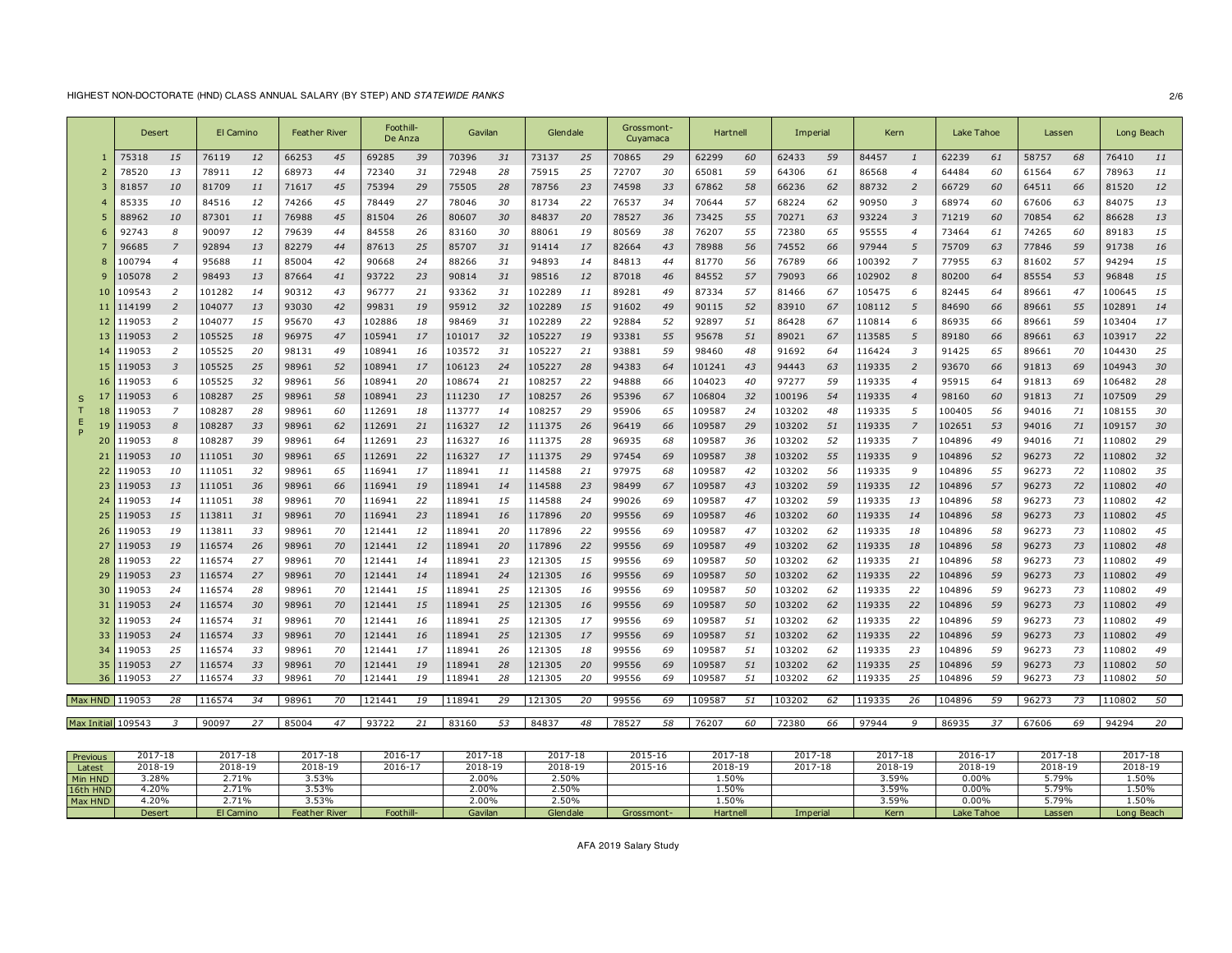# HIGHEST NON-DOCTORATE (HND) CLASS ANNUAL SALARY (BY STEP) AND *STATEWIDE RANKS* 2/6

|                     | Desert |                | El Camino |    | Feather River |    | Foothill-<br>De Anza |    | Gavilan |    | Glendale |    | Grossmont-<br>Cuvamaca |    | Hartnell |    | Imperial |    | Kern   |                       | Lake Tahoe |    | Lassen |    | Long Beach |    |
|---------------------|--------|----------------|-----------|----|---------------|----|----------------------|----|---------|----|----------|----|------------------------|----|----------|----|----------|----|--------|-----------------------|------------|----|--------|----|------------|----|
|                     | 75318  | 15             | 76119     | 12 | 66253         | 45 | 69285                | 39 | 70396   | 31 | 73137    | 25 | 70865                  | 29 | 62299    | 60 | 62433    | 59 | 84457  | $\mathbf{1}$          | 62239      | 61 | 58757  | 68 | 76410      | 11 |
|                     | 78520  | 13             | 78911     | 12 | 68973         | 44 | 72340                | 31 | 72948   | 28 | 75915    | 25 | 72707                  | 30 | 65081    | 59 | 64306    | 61 | 86568  | $\overline{4}$        | 64484      | 60 | 61564  | 67 | 78963      | 11 |
|                     | 81857  | 10             | 81709     | 11 | 71617         | 45 | 75394                | 29 | 75505   | 28 | 78756    | 23 | 74598                  | 33 | 67862    | 58 | 66236    | 62 | 88732  | 2                     | 66729      | 60 | 64511  | 66 | 81520      | 12 |
|                     | 85335  | 10             | 84516     | 12 | 74266         | 45 | 78449                | 27 | 78046   | 30 | 81734    | 22 | 76537                  | 34 | 70644    | 57 | 68224    | 62 | 90950  | $\overline{3}$        | 68974      | 60 | 67606  | 63 | 84075      | 13 |
|                     | 88962  | 10             | 87301     | 11 | 76988         | 45 | 81504                | 26 | 80607   | 30 | 84837    | 20 | 78527                  | 36 | 73425    | 55 | 70271    | 63 | 93224  | 3                     | 71219      | 60 | 70854  | 62 | 86628      | 13 |
| 6                   | 92743  | 8              | 90097     | 12 | 79639         | 44 | 84558                | 26 | 83160   | 30 | 88061    | 19 | 80569                  | 38 | 76207    | 55 | 72380    | 65 | 95555  | $\overline{4}$        | 73464      | 61 | 74265  | 60 | 89183      | 15 |
|                     | 96685  | $\overline{z}$ | 92894     | 13 | 82279         | 44 | 87613                | 25 | 85707   | 31 | 91414    | 17 | 82664                  | 43 | 78988    | 56 | 74552    | 66 | 97944  | 5                     | 75709      | 63 | 77846  | 59 | 91738      | 16 |
|                     | 100794 | $\overline{4}$ | 95688     | 11 | 85004         | 42 | 90668                | 24 | 88266   | 31 | 94893    | 14 | 84813                  | 44 | 81770    | 56 | 76789    | 66 | 100392 | 7                     | 77955      | 63 | 81602  | 57 | 94294      | 15 |
|                     | 105078 | 2              | 98493     | 13 | 87664         | 41 | 93722                | 23 | 90814   | 31 | 98516    | 12 | 87018                  | 46 | 84552    | 57 | 79093    | 66 | 102902 | 8                     | 80200      | 64 | 85554  | 53 | 96848      | 15 |
| -10                 | 109543 | 2              | 101282    | 14 | 90312         | 43 | 96777                | 21 | 93362   | 31 | 102289   | 11 | 89281                  | 49 | 87334    | 57 | 81466    | 67 | 105475 | 6                     | 82445      | 64 | 89661  | 47 | 100645     | 15 |
| ш                   | 114199 | 2              | 104077    | 13 | 93030         | 42 | 99831                | 19 | 95912   | 32 | 102289   | 15 | 91602                  | 49 | 90115    | 52 | 83910    | 67 | 108112 | 5                     | 84690      | 66 | 89661  | 55 | 102891     | 14 |
|                     | 119053 | 2              | 104077    | 15 | 95670         | 43 | 102886               | 18 | 98469   | 31 | 102289   | 22 | 92884                  | 52 | 92897    | 51 | 86428    | 67 | 110814 | 6                     | 86935      | 66 | 89661  | 59 | 103404     | 17 |
| 13                  | 119053 | $\overline{2}$ | 105525    | 18 | 96975         | 47 | 105941               | 17 | 101017  | 32 | 105227   | 19 | 93381                  | 55 | 95678    | 51 | 89021    | 67 | 113585 | 5                     | 89180      | 66 | 89661  | 63 | 103917     | 22 |
| 14                  | 119053 | 2              | 105525    | 20 | 98131         | 49 | 108941               | 16 | 103572  | 31 | 105227   | 21 | 93881                  | 59 | 98460    | 48 | 91692    | 64 | 116424 | 3                     | 91425      | 65 | 89661  | 70 | 104430     | 25 |
| 15                  | 119053 | 3              | 105525    | 25 | 98961         | 52 | 108941               | 17 | 106123  | 24 | 105227   | 28 | 94383                  | 64 | 101241   | 43 | 94443    | 63 | 119335 | $\overline{z}$        | 93670      | 66 | 91813  | 69 | 104943     | 30 |
|                     | 119053 | 6              | 105525    | 32 | 98961         | 56 | 108941               | 20 | 108674  | 21 | 108257   | 22 | 94888                  | 66 | 104023   | 40 | 97277    | 59 | 119335 | $\boldsymbol{\Delta}$ | 95915      | 64 | 91813  | 69 | 106482     | 28 |
| -17<br><sub>5</sub> | 119053 | 6              | 108287    | 25 | 98961         | 58 | 108941               | 23 | 111230  | 17 | 108257   | 26 | 95396                  | 67 | 106804   | 32 | 100196   | 54 | 119335 | 4                     | 98160      | 60 | 91813  | 71 | 107509     | 29 |
| 18                  | 119053 | 7              | 108287    | 28 | 98961         | 60 | 112691               | 18 | 113777  | 14 | 108257   | 29 | 95906                  | 65 | 109587   | 24 | 103202   | 48 | 119335 | 5                     | 100405     | 56 | 94016  | 71 | 108155     | 30 |
|                     | 119053 | 8              | 108287    | 33 | 98961         | 62 | 112691               | 21 | 116327  | 12 | 111375   | 26 | 96419                  | 66 | 109587   | 29 | 103202   | 51 | 119335 |                       | 102651     | 53 | 94016  | 71 | 109157     | 30 |
|                     | L19053 | 8              | 108287    | 39 | 98961         | 64 | 112691               | 23 | 116327  | 16 | 111375   | 28 | 96935                  | 68 | 109587   | 36 | 103202   | 52 | 119335 | - 7                   | 104896     | 49 | 94016  | 71 | 110802     | 29 |
|                     | 119053 | 10             | 111051    | 30 | 98961         | 65 | 112691               | 22 | 116327  | 17 | 111375   | 29 | 97454                  | 69 | 109587   | 38 | 103202   | 55 | 119335 | q                     | 104896     | 52 | 96273  | 72 | 110802     | 32 |
| 22                  | 119053 | 10             | 111051    | 32 | 98961         | 65 | 116941               | 17 | 118941  | 11 | 114588   | 21 | 97975                  | 68 | 109587   | 42 | 103202   | 56 | 119335 | <b>q</b>              | 104896     | 55 | 96273  | 72 | 110802     | 35 |
| 23                  | 119053 | 13             | 111051    | 36 | 98961         | 66 | 116941               | 19 | 118941  | 14 | 114588   | 23 | 98499                  | 67 | 109587   | 43 | 103202   | 59 | 119335 | 12                    | 104896     | 57 | 96273  | 72 | 110802     | 40 |
| 24                  | 119053 | 14             | 111051    | 38 | 98961         | 70 | 116941               | 22 | 118941  | 15 | 114588   | 24 | 99026                  | 69 | 109587   | 47 | 103202   | 59 | 119335 | 13                    | 104896     | 58 | 96273  | 73 | 110802     | 42 |
| 25                  | 119053 | 15             | 113811    | 31 | 98961         | 70 | 116941               | 23 | 118941  | 16 | 117896   | 20 | 99556                  | 69 | 109587   | 46 | 103202   | 60 | 119335 | 14                    | 104896     | 58 | 96273  | 73 | 110802     | 45 |
| 26                  | 119053 | 19             | 113811    | 33 | 98961         | 70 | 121441               | 12 | 118941  | 20 | 117896   | 22 | 99556                  | 69 | 109587   | 47 | 103202   | 62 | 119335 | 18                    | 104896     | 58 | 96273  | 73 | 110802     | 45 |
| 27                  | 119053 | 19             | 116574    | 26 | 98961         | 70 | 121441               | 12 | 118941  | 20 | 117896   | 22 | 99556                  | 69 | 109587   | 49 | 103202   | 62 | 119335 | 18                    | 104896     | 58 | 96273  | 73 | 110802     | 48 |
| 28                  | 119053 | 22             | 116574    | 27 | 98961         | 70 | 121441               | 14 | 118941  | 23 | 121305   | 15 | 99556                  | 69 | 109587   | 50 | 103202   | 62 | 119335 | 21                    | 104896     | 58 | 96273  | 73 | 110802     | 49 |
| 29                  | 119053 | 23             | 116574    | 27 | 98961         | 70 | 121441               | 14 | 118941  | 24 | 121305   | 16 | 99556                  | 69 | 109587   | 50 | 103202   | 62 | 119335 | 22                    | 104896     | 59 | 96273  | 73 | 110802     | 49 |
| 30                  | 119053 | 24             | 116574    | 28 | 98961         | 70 | 121441               | 15 | 118941  | 25 | 121305   | 16 | 99556                  | 69 | 109587   | 50 | 103202   | 62 | 119335 | 22                    | 104896     | 59 | 96273  | 73 | 110802     | 49 |
| 31                  | 119053 | 24             | 116574    | 30 | 98961         | 70 | 121441               | 15 | 118941  | 25 | 121305   | 16 | 99556                  | 69 | 109587   | 50 | 103202   | 62 | 119335 | 22                    | 104896     | 59 | 96273  | 73 | 110802     | 49 |
| 32                  | 119053 | 24             | 116574    | 31 | 98961         | 70 | 121441               | 16 | 118941  | 25 | 121305   | 17 | 99556                  | 69 | 109587   | 51 | 103202   | 62 | 119335 | 22                    | 104896     | 59 | 96273  | 73 | 110802     | 49 |
| 33                  | 119053 | 24             | 116574    | 33 | 98961         | 70 | 121441               | 16 | 118941  | 25 | 121305   | 17 | 99556                  | 69 | 109587   | 51 | 103202   | 62 | 119335 | 22                    | 104896     | 59 | 96273  | 73 | 110802     | 49 |
| 34                  | 119053 | 25             | 116574    | 33 | 98961         | 70 | 121441               | 17 | 118941  | 26 | 121305   | 18 | 99556                  | 69 | 109587   | 51 | 103202   | 62 | 119335 | 23                    | 104896     | 59 | 96273  | 73 | 110802     | 49 |
| 35                  | 119053 | 27             | 116574    | 33 | 98961         | 70 | 121441               | 19 | 118941  | 28 | 121305   | 20 | 99556                  | 69 | 109587   | 51 | 103202   | 62 | 119335 | 25                    | 104896     | 59 | 96273  | 73 | 110802     | 50 |
| 36                  | 119053 | 27             | 116574    | 33 | 98961         | 70 | 121441               | 19 | 118941  | 28 | 121305   | 20 | 99556                  | 69 | 109587   | 51 | 103202   | 62 | 119335 | 25                    | 104896     | 59 | 96273  | 73 | 110802     | 50 |
| Max HND 119053      |        | 28             | 116574    | 34 | 98961         | 70 | 121441               | 19 | 118941  | 29 | 121305   | 20 | 99556                  | 69 | 109587   | 51 | 103202   | 62 | 119335 | 26                    | 104896     | 59 | 96273  | 73 | 110802     | 50 |
|                     |        |                |           |    |               |    |                      |    |         |    |          |    |                        |    |          |    |          |    |        |                       |            |    |        |    |            |    |
| Max Initial 109543  |        | 3              | 90097     | 27 | 85004         | 47 | 93722                | 21 | 83160   | 53 | 84837    | 48 | 78527                  | 58 | 76207    | 60 | 72380    | 66 | 97944  | 9                     | 86935      | 37 | 67606  | 69 | 94294      | 20 |
|                     |        |                |           |    |               |    |                      |    |         |    |          |    |                        |    |          |    |          |    |        |                       |            |    |        |    |            |    |

| Previous | $2017 - 18$   | 017<br>$\sim$<br>2017-18 | $2017 - 18$               | $2016 - 17$ | $2017 - 18$ | 2017-18  | 2015-16    | 2017-18  | 2017-18  | 2017-18 | $2016 - 1$ | 2017-18 | 2017-18    |
|----------|---------------|--------------------------|---------------------------|-------------|-------------|----------|------------|----------|----------|---------|------------|---------|------------|
| Latest   | 2018-19       | 2018-19                  | 2018-19                   | 2016-17     | 2018-19     | 2018-19  | 2015-16    | 2018-19  | 2017-18  | 2018-19 | 2018-19    | 2018-19 | 2018-19    |
| Min HND  | 3.28%         | .71%                     | <b>S 250V</b><br>,,,,,    |             | 2.00%       | 2.50%    |            | 1.50%    |          | 3.59%   | 0.00%      | 5.79%   | 1.50%      |
| 16th HND | $.20\%$       | 2.71%                    | 15306<br>, , , , ,        |             | 2.00%       | 2.50%    |            | 1.50%    |          | 3.59%   | 0.00%      | 5.79%   | 1.50%      |
| Max HND  | .20%          | 2.71%                    | 530/<br>, , , , , , , , , |             | $2.00\%$    | 2.50%    |            | 1.50%    |          | 3.59%   | $0.00\%$   | 5.79%   | 1.50%      |
|          | <b>Desert</b> | El Camino                | Feather River             | Foothill-   | Gavilan     | Glendale | Grossmont- | Hartnell | Imperial | Kern    | Lake Tahoe | Lassen  | Long Beach |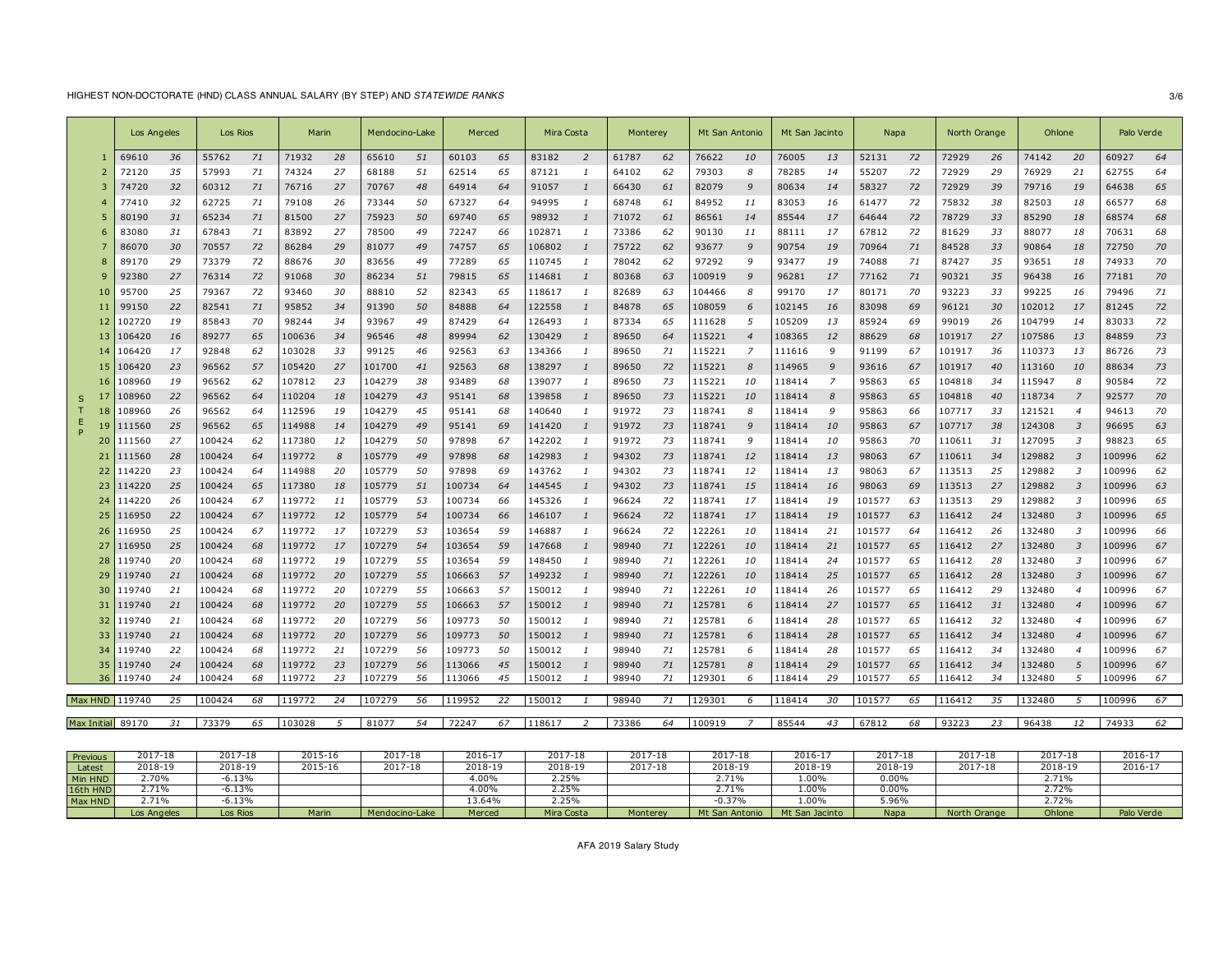# HIGHEST NON-DOCTORATE (HND) CLASS ANNUAL SALARY (BY STEP) AND *STATEWIDE RANKS* 3/6

|   |     | Los Angeles       |    | Los Rios |    | Marin  |    | Mendocino-Lake |    | Merced |    | Mira Costa |                | Monterey |    | Mt San Antonio |                | Mt San Jacinto |                | Napa   |    | North Orange |    | Ohlone |                         | Palo Verde |    |
|---|-----|-------------------|----|----------|----|--------|----|----------------|----|--------|----|------------|----------------|----------|----|----------------|----------------|----------------|----------------|--------|----|--------------|----|--------|-------------------------|------------|----|
|   |     | 69610             | 36 | 55762    | 71 | 71932  | 28 | 65610          | 51 | 60103  | 65 | 83182      | $\overline{2}$ | 61787    | 62 | 76622          | 10             | 76005          | 13             | 52131  | 72 | 72929        | 26 | 74142  | 20                      | 60927      | 64 |
|   |     | 72120             | 35 | 57993    | 71 | 74324  | 27 | 68188          | 51 | 62514  | 65 | 87121      | $\mathbf{1}$   | 64102    | 62 | 79303          | 8              | 78285          | 14             | 55207  | 72 | 72929        | 29 | 76929  | 21                      | 62755      | 64 |
|   |     | 74720             | 32 | 60312    | 71 | 76716  | 27 | 70767          | 48 | 64914  | 64 | 91057      |                | 66430    | 61 | 82079          | 9              | 80634          | 14             | 58327  | 72 | 72929        | 39 | 79716  | 19                      | 64638      | 65 |
|   |     | 77410             | 32 | 62725    | 71 | 79108  | 26 | 73344          | 50 | 67327  | 64 | 94995      |                | 68748    | 61 | 84952          | 11             | 83053          | 16             | 61477  | 72 | 75832        | 38 | 82503  | 18                      | 66577      | 68 |
|   |     | 80190             | 31 | 65234    | 71 | 81500  | 27 | 75923          | 50 | 69740  | 65 | 98932      |                | 71072    | 61 | 86561          | 14             | 85544          | 17             | 64644  | 72 | 78729        | 33 | 85290  | 18                      | 68574      | 68 |
|   |     | 83080             | 31 | 67843    | 71 | 83892  | 27 | 78500          | 49 | 72247  | 66 | 102871     |                | 73386    | 62 | 90130          | 11             | 88111          | 17             | 67812  | 72 | 81629        | 33 | 88077  | 18                      | 70631      | 68 |
|   |     | 86070             | 30 | 70557    | 72 | 86284  | 29 | 81077          | 49 | 74757  | 65 | 106802     |                | 75722    | 62 | 93677          | 9              | 90754          | 19             | 70964  | 71 | 84528        | 33 | 90864  | 18                      | 72750      | 70 |
|   |     | 89170             | 29 | 73379    | 72 | 88676  | 30 | 83656          | 49 | 77289  | 65 | 110745     |                | 78042    | 62 | 97292          | 9              | 93477          | 19             | 74088  | 71 | 87427        | 35 | 93651  | 18                      | 74933      | 70 |
|   |     | 92380             | 27 | 76314    | 72 | 91068  | 30 | 86234          | 51 | 79815  | 65 | 114681     |                | 80368    | 63 | 100919         | 9              | 96281          | 17             | 77162  | 71 | 90321        | 35 | 96438  | 16                      | 77181      | 70 |
|   |     | 95700             | 25 | 79367    | 72 | 93460  | 30 | 88810          | 52 | 82343  | 65 | 118617     |                | 82689    | 63 | 104466         | 8              | 99170          | 17             | 80171  | 70 | 93223        | 33 | 99225  | 16                      | 79496      | 71 |
|   |     | 99150             | 22 | 82541    | 71 | 95852  | 34 | 91390          | 50 | 84888  | 64 | 122558     |                | 84878    | 65 | 108059         | 6              | 102145         | 16             | 83098  | 69 | 96121        | 30 | 102012 | 17                      | 81245      | 72 |
|   | 12  | 102720            | 19 | 85843    | 70 | 98244  | 34 | 93967          | 49 | 87429  | 64 | 126493     |                | 87334    | 65 | 111628         | 5              | 105209         | 13             | 85924  | 69 | 99019        | 26 | 104799 | 14                      | 83033      | 72 |
|   |     | 106420            | 16 | 89277    | 65 | 100636 | 34 | 96546          | 48 | 89994  | 62 | 130429     |                | 89650    | 64 | 115221         | $\overline{4}$ | 108365         | 12             | 88629  | 68 | 101917       | 27 | 107586 | 13                      | 84859      | 73 |
|   |     | 106420            | 17 | 92848    | 62 | 103028 | 33 | 99125          | 46 | 92563  | 63 | 134366     |                | 89650    | 71 | 115221         |                | 111616         | 9              | 91199  | 67 | 101917       | 36 | 110373 | 13                      | 86726      | 73 |
|   | 15  | 106420            | 23 | 96562    | 57 | 105420 | 27 | 101700         | 41 | 92563  | 68 | 138297     | $\mathbf{1}$   | 89650    | 72 | 115221         | 8              | 114965         | 9              | 93616  | 67 | 101917       | 40 | 113160 | 10                      | 88634      | 73 |
|   |     | 108960            | 19 | 96562    | 62 | 107812 | 23 | 104279         | 38 | 93489  | 68 | 139077     |                | 89650    | 73 | 115221         | 10             | 118414         | $\overline{7}$ | 95863  | 65 | 104818       | 34 | 115947 | 8                       | 90584      | 72 |
| S |     | 108960            | 22 | 96562    | 64 | 110204 | 18 | 104279         | 43 | 95141  | 68 | 139858     |                | 89650    | 73 | 115221         | 10             | 118414         | 8              | 95863  | 65 | 104818       | 40 | 118734 |                         | 92577      | 70 |
|   |     | 108960            | 26 | 96562    | 64 | 112596 | 19 | 104279         | 45 | 95141  | 68 | 140640     |                | 91972    | 73 | 118741         | 8              | 118414         | g              | 95863  | 66 | 107717       | 33 | 121521 |                         | 94613      | 70 |
|   | Ε   | 111560            | 25 | 96562    | 65 | 114988 | 14 | 104279         | 49 | 95141  | 69 | 141420     |                | 91972    | 73 | 118741         | g              | 118414         | 10             | 95863  | 67 | 107717       | 38 | 124308 | -3                      | 96695      | 63 |
|   | 20  | 111560            | 27 | 100424   | 62 | 117380 | 12 | 104279         | 50 | 97898  | 67 | 142202     | $\mathbf{1}$   | 91972    | 73 | 118741         | 9              | 118414         | 10             | 95863  | 70 | 110611       | 31 | 127095 | $\cdot$ <sub>3</sub>    | 98823      | 65 |
|   | 21  | 111560            | 28 | 100424   | 64 | 119772 | 8  | 105779         | 49 | 97898  | 68 | 142983     |                | 94302    | 73 | 118741         | 12             | 118414         | 13             | 98063  | 67 | 110611       | 34 | 129882 | $\overline{\mathbf{3}}$ | 100996     | 62 |
|   | 22  | 114220            | 23 | 100424   | 64 | 114988 | 20 | 105779         | 50 | 97898  | 69 | 143762     |                | 94302    | 73 | 118741         | 12             | 118414         | 13             | 98063  | 67 | 113513       | 25 | 129882 | -3                      | 100996     | 62 |
|   |     | 114220            | 25 | 100424   | 65 | 117380 | 18 | 105779         | 51 | 100734 | 64 | 144545     |                | 94302    | 73 | 118741         | 15             | 118414         | 16             | 98063  | 69 | 113513       | 27 | 129882 | 3                       | 100996     | 63 |
|   | 24  | 114220            | 26 | 100424   | 67 | 119772 | 11 | 105779         | 53 | 100734 | 66 | 145326     |                | 96624    | 72 | 118741         | 17             | 118414         | 19             | 101577 | 63 | 113513       | 29 | 129882 | $\overline{3}$          | 100996     | 65 |
|   | 25  | 116950            | 22 | 100424   | 67 | 119772 | 12 | 105779         | 54 | 100734 | 66 | 146107     | -1             | 96624    | 72 | 118741         | 17             | 118414         | 19             | 101577 | 63 | 116412       | 24 | 132480 | -3                      | 100996     | 65 |
|   | 26  | 116950            | 25 | 100424   | 67 | 119772 | 17 | 107279         | 53 | 103654 | 59 | 146887     |                | 96624    | 72 | 122261         | 10             | 118414         | 21             | 101577 | 64 | 116412       | 26 | 132480 | -3                      | 100996     | 66 |
|   |     | 116950            | 25 | 100424   | 68 | 119772 | 17 | 107279         | 54 | 103654 | 59 | 147668     |                | 98940    | 71 | 122261         | 10             | 118414         | 21             | 101577 | 65 | 116412       | 27 | 132480 | -3                      | 100996     | 67 |
|   | 28  | 119740            | 20 | 100424   | 68 | 119772 | 19 | 107279         | 55 | 103654 | 59 | 148450     |                | 98940    | 71 | 122261         | 10             | 118414         | 24             | 101577 | 65 | 116412       | 28 | 132480 | -3                      | 100996     | 67 |
|   | 29  | 119740            | 21 | 100424   | 68 | 119772 | 20 | 107279         | 55 | 106663 | 57 | 149232     |                | 98940    | 71 | 122261         | 10             | 118414         | 25             | 101577 | 65 | 116412       | 28 | 132480 | $\overline{3}$          | 100996     | 67 |
|   | 30  | 119740            | 21 | 100424   | 68 | 119772 | 20 | 107279         | 55 | 106663 | 57 | 150012     |                | 98940    | 71 | 122261         | 10             | 118414         | 26             | 101577 | 65 | 116412       | 29 | 132480 | $\overline{4}$          | 100996     | 67 |
|   | -31 | 119740            | 21 | 100424   | 68 | 119772 | 20 | 107279         | 55 | 106663 | 57 | 150012     |                | 98940    | 71 | 125781         | 6              | 118414         | 27             | 101577 | 65 | 116412       | 31 | 132480 |                         | 100996     | 67 |
|   |     | 119740            | 21 | 100424   | 68 | 119772 | 20 | 107279         | 56 | 109773 | 50 | 150012     |                | 98940    | 71 | 125781         | 6              | 118414         | 28             | 101577 | 65 | 116412       | 32 | 132480 |                         | 100996     | 67 |
|   | 33  | 119740            | 21 | 100424   | 68 | 119772 | 20 | 107279         | 56 | 109773 | 50 | 150012     |                | 98940    | 71 | 125781         | 6              | 118414         | 28             | 101577 | 65 | 116412       | 34 | 132480 |                         | 100996     | 67 |
|   | 34  | 119740            | 22 | 100424   | 68 | 119772 | 21 | 107279         | 56 | 109773 | 50 | 150012     |                | 98940    | 71 | 125781         | 6              | 118414         | 28             | 101577 | 65 | 116412       | 34 | 132480 | $\overline{4}$          | 100996     | 67 |
|   | 35  | 119740            | 24 | 100424   | 68 | 119772 | 23 | 107279         | 56 | 113066 | 45 | 150012     |                | 98940    | 71 | 125781         | 8              | 118414         | 29             | 101577 | 65 | 116412       | 34 | 132480 | 5                       | 100996     | 67 |
|   | 36  | 119740            | 24 | 100424   | 68 | 119772 | 23 | 107279         | 56 | 113066 | 45 | 150012     |                | 98940    | 71 | 129301         | 6              | 118414         | 29             | 101577 | 65 | 116412       | 34 | 132480 | -5                      | 100996     | 67 |
|   |     | Max HND 119740    | 25 | 100424   | 68 | 119772 | 24 | 107279         | 56 | 119952 | 22 | 150012     |                | 98940    | 71 | 129301         | 6              | 118414         | 30             | 101577 | 65 | 116412       | 35 | 132480 | 5                       | 100996     | 67 |
|   |     |                   |    |          |    |        |    |                | 54 |        |    |            |                |          |    | 100919         |                |                |                |        |    |              |    |        |                         | 74933      |    |
|   |     | Max Initial 89170 | 31 | 73379    | 65 | 103028 | 5  | 81077          |    | 72247  | 67 | 118617     | 2              | 73386    | 64 |                | 7              | 85544          | 43             | 67812  | 68 | 93223        | 23 | 96438  | 12                      |            | 62 |

| Previous | 2017-18     | 2017-18  | 2015-16      | 2017-18        | 2016-1 <sup>-</sup> | 2017-18    | 2017-18  | 2017-18        | $2016 - 1$     | 2017-18  | 2017-18      | 2017-18        | $2016 - 1$ |
|----------|-------------|----------|--------------|----------------|---------------------|------------|----------|----------------|----------------|----------|--------------|----------------|------------|
| Latest   | 2018-19     | 2018-19  | 2015-16      | 2017-18        | 2018-19             | 2018-19    | 2017-18  | 2018-19        | 2018-19        | 2018-19  | 2017-18      | 2018-19        | 2016-17    |
| Min HND  | 2.70%       | 6.13%    |              |                | .00%                | 2.25%      |          | 2.71%          | 1.00%          | 0.00%    |              | 2.71%          |            |
| 16th HND | 2.71%       | 5.13%    |              |                | $.00\%$             | 2.25%      |          | 2.71%          | 1.00%          | $0.00\%$ |              | 2.72%          |            |
| Max HND  |             | 13%، د   |              |                | 13.64%              | 2.25%      |          | 0.37%          | .009           | 0.96%    |              | $-22$<br>2.72% |            |
|          | Los Angeles | Los Rios | <b>Marin</b> | Mendocino-Lake | Merced              | Mira Costa | Monterey | Mt San Antonio | Mt San Jacinto | Napa     | North Orange | Ohlone         | Palo Verde |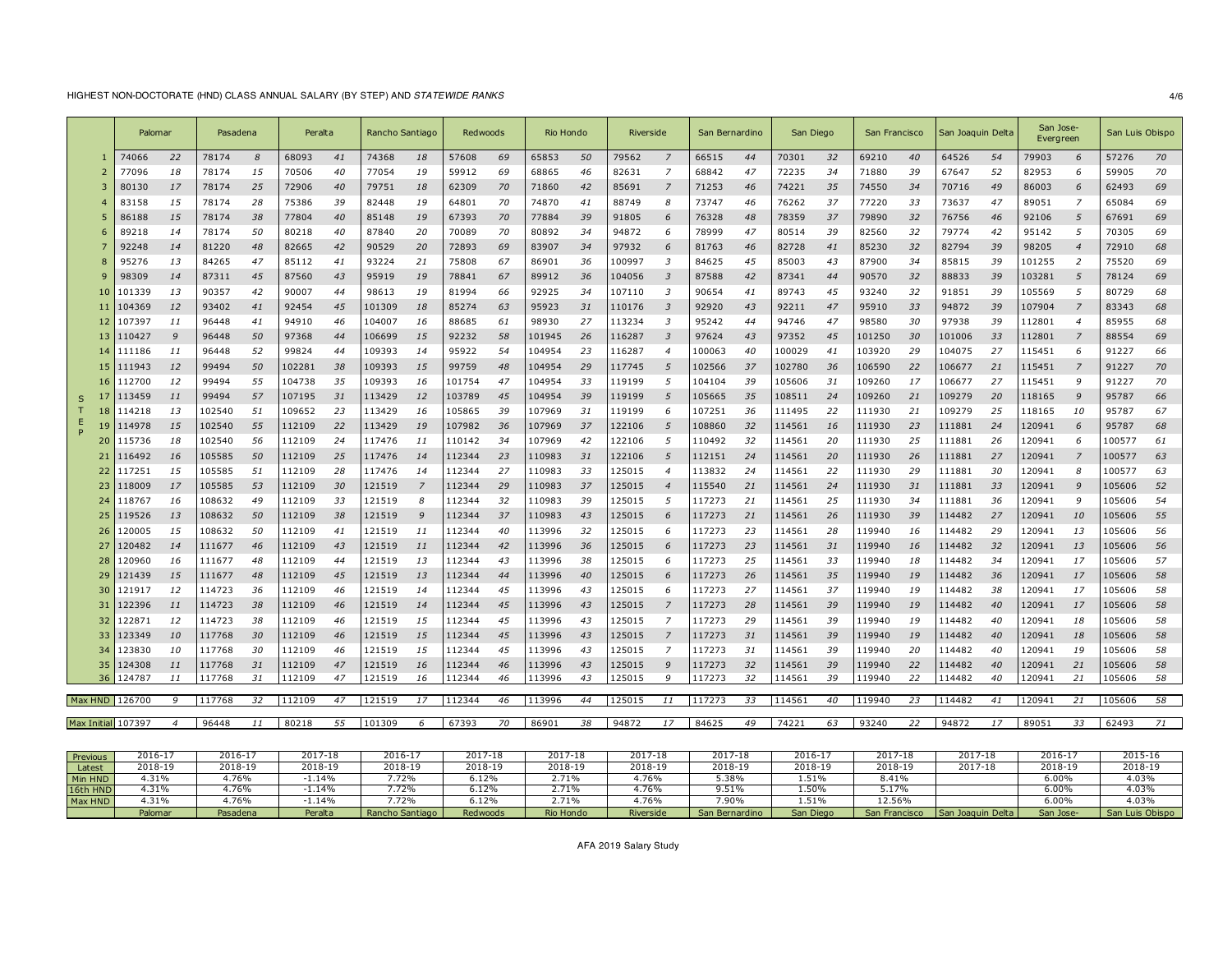# HIGHEST NON-DOCTORATE (HND) CLASS ANNUAL SALARY (BY STEP) AND *STATEWIDE RANKS* 4/6

|          |     | Palomar            |                | Pasadena |     | Peralta |    | Rancho Santiago |    | Redwoods |    | Rio Hondo |    | Riverside |                         | San Bernardino |    | San Diego |    | San Francisco |     | San Joaquin Delta |    | San Jose-<br>Evergreen |                          | San Luis Obispo |    |
|----------|-----|--------------------|----------------|----------|-----|---------|----|-----------------|----|----------|----|-----------|----|-----------|-------------------------|----------------|----|-----------|----|---------------|-----|-------------------|----|------------------------|--------------------------|-----------------|----|
|          |     | 74066              | 22             | 78174    | 8   | 68093   | 41 | 74368           | 18 | 57608    | 69 | 65853     | 50 | 79562     | $\overline{7}$          | 66515          | 44 | 70301     | 32 | 69210         | 40  | 64526             | 54 | 79903                  | 6                        | 57276           | 70 |
|          |     | 77096              | 18             | 78174    | 15  | 70506   | 40 | 77054           | 19 | 59912    | 69 | 68865     | 46 | 82631     | $\overline{7}$          | 68842          | 47 | 72235     | 34 | 71880         | 39  | 67647             | 52 | 82953                  | 6                        | 59905           | 70 |
|          |     | 80130              | 17             | 78174    | 25  | 72906   | 40 | 79751           | 18 | 62309    | 70 | 71860     | 42 | 85691     | 7                       | 71253          | 46 | 74221     | 35 | 74550         | 34  | 70716             | 49 | 86003                  |                          | 62493           | 69 |
|          |     | 83158              | 15             | 78174    | 28  | 75386   | 39 | 82448           | 19 | 64801    | 70 | 74870     | 41 | 88749     | 8                       | 73747          | 46 | 76262     | 37 | 77220         | 33  | 73637             | 47 | 89051                  | $\overline{7}$           | 65084           | 69 |
|          |     | 86188              | 15             | 78174    | 38  | 77804   | 40 | 85148           | 19 | 67393    | 70 | 77884     | 39 | 91805     | 6                       | 76328          | 48 | 78359     | 37 | 79890         | 32  | 76756             | 46 | 92106                  | 5                        | 67691           | 69 |
|          |     | 89218              | 14             | 78174    | 50  | 80218   | 40 | 87840           | 20 | 70089    | 70 | 80892     | 34 | 94872     | 6                       | 78999          | 47 | 80514     | 39 | 82560         | 32  | 79774             | 42 | 95142                  | 5                        | 70305           | 69 |
|          |     | 92248              | 14             | 81220    | 48  | 82665   | 42 | 90529           | 20 | 72893    | 69 | 83907     | 34 | 97932     | 6                       | 81763          | 46 | 82728     | 41 | 85230         | 32  | 82794             | 39 | 98205                  | $\boldsymbol{4}$         | 72910           | 68 |
|          | 8   | 95276              | 13             | 84265    | 47  | 85112   | 41 | 93224           | 21 | 75808    | 67 | 86901     | 36 | 100997    | 3                       | 84625          | 45 | 85003     | 43 | 87900         | 34  | 85815             | 39 | 101255                 | $\overline{\phantom{a}}$ | 75520           | 69 |
|          |     | 98309              | 14             | 87311    | 45  | 87560   | 43 | 95919           | 19 | 78841    | 67 | 89912     | 36 | 104056    | $\overline{3}$          | 87588          | 42 | 87341     | 44 | 90570         | 32  | 88833             | 39 | 103281                 | 5                        | 78124           | 69 |
|          |     | 101339             | 13             | 90357    | 42  | 90007   | 44 | 98613           | 19 | 81994    | 66 | 92925     | 34 | 107110    | 3                       | 90654          | 41 | 89743     | 45 | 93240         | 32  | 91851             | 39 | 105569                 | 5                        | 80729           | 68 |
|          |     | 104369             | 12             | 93402    | 41  | 92454   | 45 | 101309          | 18 | 85274    | 63 | 95923     | 31 | 110176    | $\overline{\mathbf{3}}$ | 92920          | 43 | 92211     | 47 | 95910         | 33  | 94872             | 39 | 107904                 | $\overline{z}$           | 83343           | 68 |
|          | 12  | 107397             | 11             | 96448    | 41  | 94910   | 46 | 104007          | 16 | 88685    | 61 | 98930     | 27 | 113234    | $\overline{3}$          | 95242          | 44 | 94746     | 47 | 98580         | 30  | 97938             | 39 | 112801                 | $\boldsymbol{4}$         | 85955           | 68 |
|          | 13  | 110427             | 9              | 96448    | 50  | 97368   | 44 | 106699          | 15 | 92232    | 58 | 101945    | 26 | 116287    | -3                      | 97624          | 43 | 97352     | 45 | 101250        | 30  | 101006            | 33 | 112801                 |                          | 88554           | 69 |
|          |     | 111186             | 11             | 96448    | 52  | 99824   | 44 | 109393          | 14 | 95922    | 54 | 104954    | 23 | 116287    | $\overline{4}$          | 100063         | 40 | 100029    | 41 | 103920        | 29  | 104075            | 27 | 115451                 | -6                       | 91227           | 66 |
|          | 15  | 111943             | 12             | 99494    | 50  | 102281  | 38 | 109393          | 15 | 99759    | 48 | 104954    | 29 | 117745    | 5                       | 102566         | 37 | 102780    | 36 | 106590        | 22  | 106677            | 21 | 115451                 | $\overline{z}$           | 91227           | 70 |
|          | 16  | 112700             | 12             | 99494    | 55  | 104738  | 35 | 109393          | 16 | 101754   | 47 | 104954    | 33 | 119199    | -5                      | 104104         | 39 | 105606    | 31 | 109260        | -17 | 106677            | 27 | 115451                 | 9                        | 91227           | 70 |
| S        |     | 113459             | 11             | 99494    | 57  | 107195  | 31 | 113429          | 12 | 103789   | 45 | 104954    | 39 | 119199    | 5                       | 105665         | 35 | 108511    | 24 | 109260        | 21  | 109279            | 20 | 118165                 |                          | 95787           | 66 |
|          |     | 114218             | 13             | 102540   | 51  | 109652  | 23 | 113429          | 16 | 105865   | 39 | 107969    | 31 | 119199    | 6                       | 107251         | 36 | 111495    | 22 | 111930        | 21  | 109279            | 25 | 118165                 | 10                       | 95787           | 67 |
|          | 19  | 114978             | 15             | 102540   | 55  | 112109  | 22 | 113429          | 19 | 107982   | 36 | 107969    | 37 | 122106    | 5                       | 108860         | 32 | 114561    | 16 | 111930        | 23  | 111881            | 24 | 120941                 | -6                       | 95787           | 68 |
|          | 20  | 115736             | 18             | 102540   | .56 | 112109  | 24 | 117476          | 11 | 110142   | 34 | 107969    | 42 | 122106    | 5                       | 110492         | 32 | 114561    | 20 | 111930        | 25  | 111881            | 26 | 120941                 | 6                        | 100577          | 61 |
|          |     | 116492             | 16             | 105585   | 50  | 112109  | 25 | 117476          | 14 | 112344   | 23 | 110983    | 31 | 122106    | 5                       | 112151         | 24 | 114561    | 20 | 111930        | 26  | 111881            | 27 | 120941                 |                          | 100577          | 63 |
|          | 22  | 117251             | 15             | 105585   | 51  | 112109  | 28 | 117476          | 14 | 112344   | 27 | 110983    | 33 | 125015    | $\overline{4}$          | 113832         | 24 | 114561    | 22 | 111930        | 29  | 111881            | 30 | 120941                 | 8                        | 100577          | 63 |
|          | 23  | 118009             | 17             | 105585   | 53  | 112109  | 30 | 121519          | 7  | 112344   | 29 | 110983    | 37 | 125015    | $\overline{4}$          | 115540         | 21 | 114561    | 24 | 111930        | 31  | 111881            | 33 | 120941                 |                          | 105606          | 52 |
|          | 24  | 118767             | 16             | 108632   | 49  | 112109  | 33 | 121519          | 8  | 112344   | 32 | 110983    | 39 | 125015    | 5                       | 117273         | 21 | 114561    | 25 | 111930        | 34  | 111881            | 36 | 120941                 | q                        | 105606          | 54 |
|          | 25  | 119526             | 13             | 108632   | 50  | 112109  | 38 | 121519          | 9  | 112344   | 37 | 110983    | 43 | 125015    | -6                      | 117273         | 21 | 114561    | 26 | 111930        | 39  | 114482            | 27 | 120941                 | 10                       | 105606          | 55 |
|          | -26 | 120005             | 15             | 108632   | 50  | 112109  | 41 | 121519          | 11 | 112344   | 40 | 113996    | 32 | 125015    | 6                       | 117273         | 23 | 114561    | 28 | 119940        | 16  | 114482            | 29 | 120941                 | 13                       | 105606          | 56 |
|          | 27  | 120482             | 14             | 111677   | 46  | 112109  | 43 | 121519          | 11 | 112344   | 42 | 113996    | 36 | 125015    | 6                       | 117273         | 23 | 114561    | 31 | 119940        | 16  | 114482            | 32 | 120941                 | 13                       | 105606          | 56 |
|          | 28  | 120960             | 16             | 111677   | 48  | 112109  | 44 | 121519          | 13 | 112344   | 43 | 113996    | 38 | 125015    | 6                       | 117273         | 25 | 114561    | 33 | 119940        | 18  | 114482            | 34 | 120941                 | 17                       | 105606          | 57 |
|          | 29  | 121439             | 15             | 111677   | 48  | 112109  | 45 | 121519          | 13 | 112344   | 44 | 113996    | 40 | 125015    | 6                       | 117273         | 26 | 114561    | 35 | 119940        | 19  | 114482            | 36 | 120941                 | 17                       | 105606          | 58 |
|          | 30  | 121917             | 12             | 114723   | 36  | 112109  | 46 | 121519          | 14 | 112344   | 45 | 113996    | 43 | 125015    | 6                       | 117273         | 27 | 114561    | 37 | 119940        | 19  | 114482            | 38 | 120941                 | 17                       | 105606          | 58 |
|          | -31 | 122396             | 11             | 114723   | 38  | 112109  | 46 | 121519          | 14 | 112344   | 45 | 113996    | 43 | 125015    | $\overline{z}$          | 117273         | 28 | 114561    | 39 | 119940        | 19  | 114482            | 40 | 120941                 | 17                       | 105606          | 58 |
|          |     | 122871             | 12             | 114723   | 38  | 112109  | 46 | 121519          | 15 | 112344   | 45 | 113996    | 43 | 125015    | $\overline{z}$          | 117273         | 29 | 114561    | 39 | 119940        | 19  | 14482             | 40 | 120941                 | 18                       | 105606          | 58 |
|          | 33  | 123349             | 10             | 117768   | 30  | 112109  | 46 | 121519          | 15 | 112344   | 45 | 113996    | 43 | 125015    | 7                       | 117273         | 31 | 114561    | 39 | 119940        | 19  | 114482            | 40 | 120941                 | 18                       | 105606          | 58 |
|          | 34  | 123830             | 10             | 117768   | 30  | 112109  | 46 | 121519          | 15 | 112344   | 45 | 113996    | 43 | 125015    | $\overline{z}$          | 117273         | 31 | 114561    | 39 | 119940        | 20  | 114482            | 40 | 120941                 | 19                       | 105606          | 58 |
|          | -35 | 124308             | 11             | 117768   | 31  | 112109  | 47 | 121519          | 16 | 112344   | 46 | 113996    | 43 | 125015    | 9                       | 117273         | 32 | 114561    | 39 | 119940        | 22  | 114482            | 40 | 120941                 | 21                       | 105606          | 58 |
|          | 36  | 124787             | 11             | 117768   | 31  | 112109  | 47 | 121519          | 16 | 112344   | 46 | 113996    | 43 | 125015    | 9                       | 117273         | 32 | 114561    | 39 | 119940        | 22  | 14482             | 40 | 120941                 | 21                       | 105606          | 58 |
|          |     | Max HND 126700     | 9              | 117768   | 32  | 112109  | 47 | 121519          | 17 | 112344   | 46 | 113996    | 44 | 125015    | 11                      | 117273         | 33 | 114561    | 40 | 119940        | 23  | 114482            | 41 | 120941                 | 21                       | 105606          | 58 |
|          |     | Max Initial 107397 | $\overline{4}$ | 96448    | 11  | 80218   | 55 | 101309          | 6  | 67393    | 70 | 86901     | 38 | 94872     | 17                      | 84625          | 49 | 74221     | 63 | 93240         | 22  | 94872             | 17 | 89051                  | 33                       | 62493           | 71 |
|          |     |                    |                |          |     |         |    |                 |    |          |    |           |    |           |                         |                |    |           |    |               |     |                   |    |                        |                          |                 |    |
| Previous |     | 2016-17            |                | 2016-17  |     | 2017-18 |    | 2016-17         |    | 2017-18  |    | 2017-18   |    | 2017-18   |                         | 2017-18        |    | 2016-17   |    | 2017-18       |     | 2017-18           |    | 2016-17                |                          | 2015-16         |    |

|          | Palomar | Pasadena | Peralta | Rancho Santiago | Redwoods | Rio Hondo | Riverside | San Bernardino | San Diego | San Francisco | Joaquin Delta<br><b>San</b> | San Jose- | San Luis Obispo |
|----------|---------|----------|---------|-----------------|----------|-----------|-----------|----------------|-----------|---------------|-----------------------------|-----------|-----------------|
| Max HND  | .31%    | .76%     | 1.14%   | .72%            | -12%. ر  | $2.71\%$  | 1.76%     | $.90\%$        | 1.51%     | 12.56%        |                             | $6.00\%$  | 4.03%           |
| 16th HND | .31%    | .76%     | 1.14%   | .72%            | 6.12%    | 2.71%     | 4.76%     | 510/<br>⊥ ت. ⁄ | 1.50%     | 17%، د        |                             | $6.00\%$  | 4.03%           |
| Min HND  | .31%    | .76%     | 1.14%   | 72%             | 5.12%    | 2.71%     | 4.76%     | 5.38%          | 1.51%     | 8.41%         |                             | $6.00\%$  | 4.03%           |
| Latest   | 2018-19 | 2018-19  | 2018-19 | 2018-19         | 2018-19  | 2018-19   | 2018-19   | 2018-19        | 2018-19   | 2018-19       | 2017-18                     | 2018-19   | 2018-19         |
| Previous | 2016-17 | 2016-17  | 2017-18 | 2016-17         | 2017-18  | 2017-18   | 2017-18   | 2017-18        | 2016-17   | 2017-18       | 2017-18                     | 2016-17   | 2015-16         |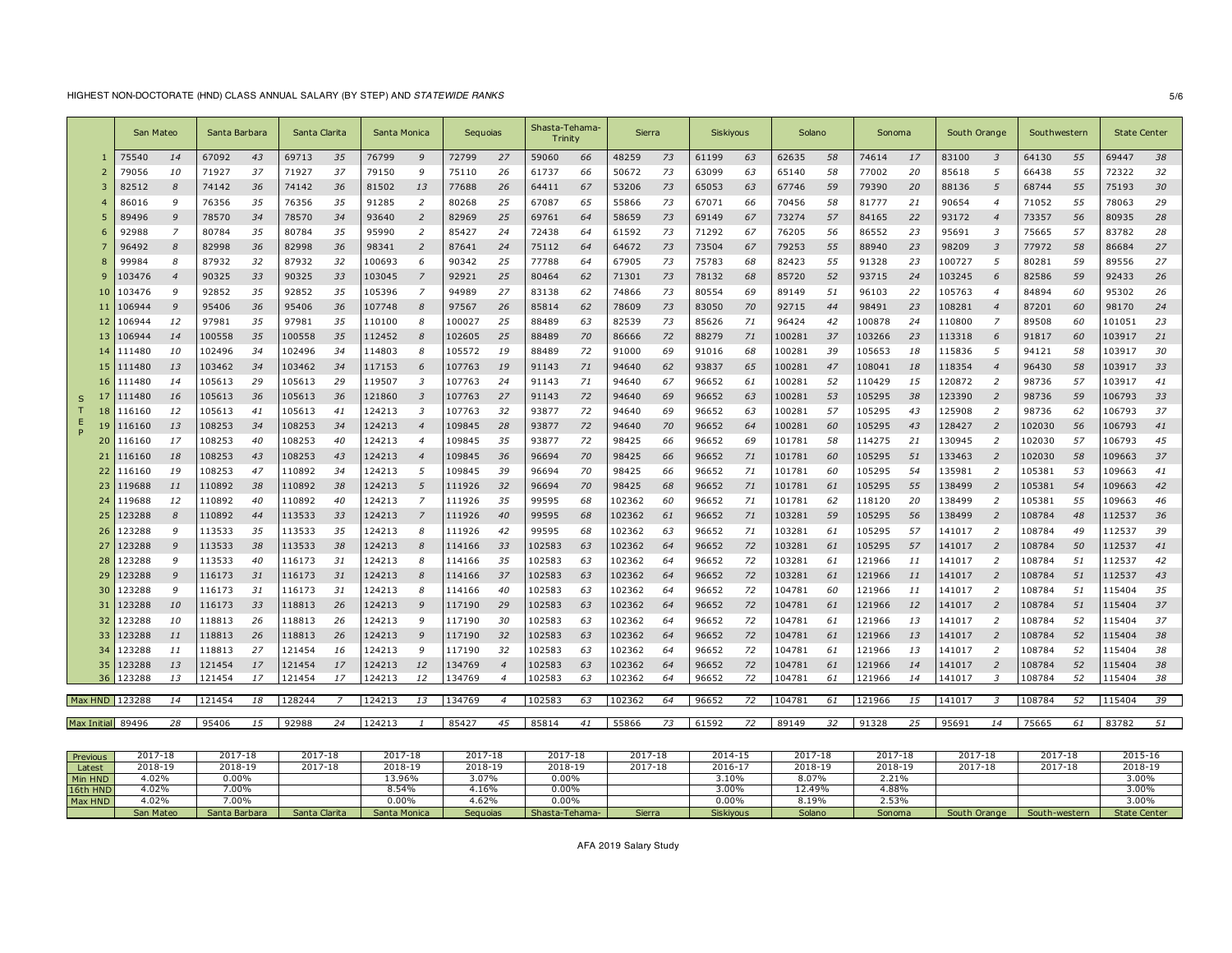# HIGHEST NON-DOCTORATE (HND) CLASS ANNUAL SALARY (BY STEP) AND *STATEWIDE RANKS* 5/6

|                   | San Mateo |                | Santa Barbara |    | Santa Clarita |     | Santa Monica |                  | Seguoias |                          | Shasta-Tehama-<br>Trinity |    | Sierra |    | Siskiyous |    | Solano |    | Sonoma |    | South Orange |                | Southwestern |    | <b>State Center</b> |    |
|-------------------|-----------|----------------|---------------|----|---------------|-----|--------------|------------------|----------|--------------------------|---------------------------|----|--------|----|-----------|----|--------|----|--------|----|--------------|----------------|--------------|----|---------------------|----|
|                   | 75540     | 14             | 67092         | 43 | 69713         | 35  | 76799        | 9                | 72799    | 27                       | 59060                     | 66 | 48259  | 73 | 61199     | 63 | 62635  | 58 | 74614  | 17 | 83100        | $\overline{3}$ | 64130        | 55 | 69447               | 38 |
|                   | 79056     | 10             | 71927         | 37 | 71927         | 37  | 79150        | 9                | 75110    | 26                       | 61737                     | 66 | 50672  | 73 | 63099     | 63 | 65140  | 58 | 77002  | 20 | 85618        | 5              | 66438        | 55 | 72322               | 32 |
|                   | 82512     | 8              | 74142         | 36 | 74142         | 36  | 81502        | 13               | 77688    | 26                       | 64411                     | 67 | 53206  | 73 | 65053     | 63 | 67746  | 59 | 79390  | 20 | 88136        | 5              | 68744        | 55 | 75193               | 30 |
|                   | 86016     | 9              | 76356         | 35 | 76356         | 35  | 91285        | $\overline{z}$   | 80268    | 25                       | 67087                     | 65 | 55866  | 73 | 67071     | 66 | 70456  | 58 | 81777  | 21 | 90654        | $\overline{4}$ | 71052        | 55 | 78063               | 29 |
|                   | 89496     | 9              | 78570         | 34 | 78570         | 34  | 93640        | 2                | 82969    | 25                       | 69761                     | 64 | 58659  | 73 | 69149     | 67 | 73274  | 57 | 84165  | 22 | 93172        | $\overline{4}$ | 73357        | 56 | 80935               | 28 |
| 6                 | 92988     | 7              | 80784         | 35 | 80784         | 35  | 95990        | 2                | 85427    | 24                       | 72438                     | 64 | 61592  | 73 | 71292     | 67 | 76205  | 56 | 86552  | 23 | 95691        | $\overline{3}$ | 75665        | 57 | 83782               | 28 |
|                   | 96492     | 8              | 82998         | 36 | 82998         | 36  | 98341        | $\overline{z}$   | 87641    | 24                       | 75112                     | 64 | 64672  | 73 | 73504     | 67 | 79253  | 55 | 88940  | 23 | 98209        | $\overline{3}$ | 77972        | 58 | 86684               | 27 |
|                   | 99984     | 8              | 87932         | 32 | 87932         | -32 | 100693       | 6                | 90342    | 25                       | 77788                     | 64 | 67905  | 73 | 75783     | 68 | 82423  | 55 | 91328  | 23 | 100727       | -5             | 80281        | 59 | 89556               | 27 |
|                   | 103476    | $\overline{4}$ | 90325         | 33 | 90325         | 33  | 103045       | $\overline{7}$   | 92921    | 25                       | 80464                     | 62 | 71301  | 73 | 78132     | 68 | 85720  | 52 | 93715  | 24 | 103245       | 6              | 82586        | 59 | 92433               | 26 |
| -10               | 103476    | 9              | 92852         | 35 | 92852         | 35  | 105396       | $\overline{z}$   | 94989    | 27                       | 83138                     | 62 | 74866  | 73 | 80554     | 69 | 89149  | 51 | 96103  | 22 | 105763       | $\overline{4}$ | 84894        | 60 | 95302               | 26 |
|                   | 106944    | 9              | 95406         | 36 | 95406         | 36  | 107748       | 8                | 97567    | 26                       | 85814                     | 62 | 78609  | 73 | 83050     | 70 | 92715  | 44 | 98491  | 23 | 108281       | $\overline{4}$ | 87201        | 60 | 98170               | 24 |
|                   | 106944    | 12             | 97981         | 35 | 97981         | 35  | 110100       | 8                | 100027   | 25                       | 88489                     | 63 | 82539  | 73 | 85626     | 71 | 96424  | 42 | 100878 | 24 | 110800       | 7              | 89508        | 60 | 101051              | 23 |
| 13                | 106944    | 14             | 100558        | 35 | 100558        | 35  | 112452       | 8                | 102605   | 25                       | 88489                     | 70 | 86666  | 72 | 88279     | 71 | 100281 | 37 | 103266 | 23 | 113318       | 6              | 91817        | 60 | 103917              | 21 |
| 14                | 111480    | 10             | 102496        | 34 | 102496        | 34  | 114803       | 8                | 105572   | 19                       | 88489                     | 72 | 91000  | 69 | 91016     | 68 | 100281 | 39 | 105653 | 18 | 115836       | -5             | 94121        | 58 | 103917              | 30 |
| 15                | 111480    | 13             | 103462        | 34 | 103462        | 34  | 117153       | 6                | 107763   | 19                       | 91143                     | 71 | 94640  | 62 | 93837     | 65 | 100281 | 47 | 108041 | 18 | 118354       | $\overline{4}$ | 96430        | 58 | 103917              | 33 |
|                   | 111480    | 14             | 105613        | 29 | 105613        | 29  | 119507       | 3                | 107763   | 24                       | 91143                     | 71 | 94640  | 67 | 96652     | 61 | 100281 | 52 | 110429 | 15 | 120872       | $\overline{2}$ | 98736        | 57 | 103917              | 41 |
| -17<br>S          | 111480    | 16             | 105613        | 36 | 105613        | 36  | 121860       | 3                | 107763   | 27                       | 91143                     | 72 | 94640  | 69 | 96652     | 63 | 100281 | 53 | 105295 | 38 | 123390       | $\overline{2}$ | 98736        | 59 | 106793              | 33 |
| 18                | 116160    | 12             | 105613        | 41 | 105613        | 41  | 124213       | 3                | 107763   | 32                       | 93877                     | 72 | 94640  | 69 | 96652     | 63 | 100281 | 57 | 105295 | 43 | 125908       | $\overline{2}$ | 98736        | 62 | 106793              | 37 |
|                   | 116160    | 13             | 108253        | 34 | 108253        | 34  | 124213       | $\overline{4}$   | 109845   | 28                       | 93877                     | 72 | 94640  | 70 | 96652     | 64 | 100281 | 60 | 105295 | 43 | 128427       | $\overline{2}$ | 102030       | 56 | 106793              | 41 |
|                   | 116160    | 17             | 108253        | 40 | 108253        | 40  | 124213       | 4                | 109845   | 35                       | 93877                     | 72 | 98425  | 66 | 96652     | 69 | 101781 | 58 | 114275 | 21 | 130945       | $\overline{2}$ | 102030       | 57 | 106793              | 45 |
|                   | 116160    | 18             | 108253        | 43 | 108253        | 43  | 124213       | $\boldsymbol{4}$ | 109845   | 36                       | 96694                     | 70 | 98425  | 66 | 96652     | 71 | 101781 | 60 | 105295 | 51 | 133463       | $\overline{2}$ | 102030       | 58 | 109663              | 37 |
| 22                | 116160    | 19             | 108253        | 47 | 110892        | -34 | 124213       | 5                | 109845   | 39                       | 96694                     | 70 | 98425  | 66 | 96652     | 71 | 101781 | 60 | 105295 | 54 | 135981       | $\overline{2}$ | 105381       | 53 | 109663              | 41 |
| 23                | 119688    | 11             | 110892        | 38 | 110892        | 38  | 124213       | 5                | 111926   | 32                       | 96694                     | 70 | 98425  | 68 | 96652     | 71 | 101781 | 61 | 105295 | 55 | 138499       | $\overline{2}$ | 105381       | 54 | 109663              | 42 |
| 24                | 119688    | 12             | 110892        | 40 | 110892        | 40  | 124213       | $\overline{z}$   | 111926   | 35                       | 99595                     | 68 | 102362 | 60 | 96652     | 71 | 101781 | 62 | 118120 | 20 | 138499       | $\overline{2}$ | 105381       | 55 | 109663              | 46 |
| 25                | 123288    | 8              | 110892        | 44 | 113533        | 33  | 124213       |                  | 111926   | 40                       | 99595                     | 68 | 102362 | 61 | 96652     | 71 | 103281 | 59 | 105295 | 56 | 138499       | $\overline{2}$ | 108784       | 48 | 112537              | 36 |
| 26                | 123288    | 9              | 113533        | 35 | 113533        | 35  | 124213       | 8                | 111926   | 42                       | 99595                     | 68 | 102362 | 63 | 96652     | 71 | 103281 | 61 | 105295 | 57 | 141017       | $\overline{2}$ | 108784       | 49 | 112537              | 39 |
| 27                | 123288    | 9              | 113533        | 38 | 113533        | 38  | 124213       | 8                | 114166   | 33                       | 102583                    | 63 | 102362 | 64 | 96652     | 72 | 103281 | 61 | 105295 | 57 | 141017       | $\overline{2}$ | 108784       | 50 | 112537              | 41 |
| 28                | 123288    | 9              | 113533        | 40 | 116173        | 31  | 124213       | 8                | 114166   | 35                       | 102583                    | 63 | 102362 | 64 | 96652     | 72 | 103281 | 61 | 121966 | 11 | 141017       | 2              | 108784       | 51 | 112537              | 42 |
| 29                | 123288    | 9              | 116173        | 31 | 116173        | 31  | 124213       | 8                | 114166   | 37                       | 102583                    | 63 | 102362 | 64 | 96652     | 72 | 103281 | 61 | 121966 | 11 | 141017       | $\overline{2}$ | 108784       | 51 | 112537              | 43 |
| 30                | 123288    | 9              | 116173        | 31 | 116173        | 31  | 124213       | 8                | 114166   | 40                       | 102583                    | 63 | 102362 | 64 | 96652     | 72 | 104781 | 60 | 121966 | 11 | 141017       | $\overline{2}$ | 108784       | 51 | 115404              | 35 |
| 31                | 123288    | 10             | 116173        | 33 | 118813        | 26  | 124213       | 9                | 117190   | 29                       | 102583                    | 63 | 102362 | 64 | 96652     | 72 | 104781 | 61 | 121966 | 12 | 141017       | $\overline{2}$ | 108784       | 51 | 115404              | 37 |
| 32                | 123288    | 10             | 118813        | 26 | 118813        | 26  | 124213       | 9                | 117190   | 30                       | 102583                    | 63 | 102362 | 64 | 96652     | 72 | 104781 | 61 | 121966 | 13 | 141017       | 2              | 108784       | 52 | 115404              | 37 |
| 33                | 123288    | 11             | 118813        | 26 | 118813        | 26  | 124213       | 9                | 117190   | 32                       | 102583                    | 63 | 102362 | 64 | 96652     | 72 | 104781 | 61 | 121966 | 13 | 141017       | $\overline{2}$ | 108784       | 52 | 115404              | 38 |
| 34                | 123288    | 11             | 118813        | 27 | 121454        | 16  | 124213       | $\mathsf{Q}$     | 117190   | 32                       | 102583                    | 63 | 102362 | 64 | 96652     | 72 | 104781 | 61 | 121966 | 13 | 141017       | 2              | 108784       | 52 | 115404              | 38 |
| 35                | 123288    | 13             | 121454        | 17 | 121454        | 17  | 124213       | 12               | 134769   | $\overline{4}$           | 102583                    | 63 | 102362 | 64 | 96652     | 72 | 104781 | 61 | 121966 | 14 | 141017       | $\overline{2}$ | 108784       | 52 | 115404              | 38 |
| 36                | 123288    | 13             | 121454        | 17 | 121454        | 17  | 124213       | 12               | 134769   | $\overline{\mathcal{A}}$ | 102583                    | 63 | 102362 | 64 | 96652     | 72 | 104781 | 61 | 121966 | 14 | 141017       | $\overline{3}$ | 108784       | 52 | 115404              | 38 |
|                   |           |                |               |    |               |     |              |                  |          |                          |                           |    |        |    |           |    |        |    |        |    |              |                |              |    |                     |    |
| Max HND 123288    |           | 14             | 121454        | 18 | 128244        |     | 124213       | 13               | 134769   | $\overline{4}$           | 102583                    | 63 | 102362 | 64 | 96652     | 72 | 104781 | 61 | 121966 | 15 | 141017       | 3              | 108784       | 52 | 115404              | 39 |
| Max Initial 89496 |           | 28             | 95406         | 15 | 92988         | 24  | 124213       |                  | 85427    | 45                       | 85814                     | 41 | 55866  | 73 | 61592     | 72 | 89149  | 32 | 91328  | 25 | 95691        | 14             | 75665        | 61 | 83782               | 51 |
|                   |           |                |               |    |               |     |              |                  |          |                          |                           |    |        |    |           |    |        |    |        |    |              |                |              |    |                     |    |

| Previous | $2017 - 18$ | דו הר<br>$\sim$<br>2017-18 | $2017 - 18$   | 2017-18      | $2017 - 18$ | 2017-18        | 2017-18 | 2014-15          | 2017-18 | 2017-18       | 2017-18      | 2017-18       | 2015-16             |
|----------|-------------|----------------------------|---------------|--------------|-------------|----------------|---------|------------------|---------|---------------|--------------|---------------|---------------------|
| Latest   | 2018-19     | 2018-19                    | 2017-18       | 2018-19      | 2018-19     | 2018-19        | 2017-18 | $2016 - 1$       | 2018-19 | 2018-19       | 2017-18      | 2017-18       | 2018-19             |
| Min HND  | 1.02%       | $0.00\%$                   |               | 13.96%       | 3.07%       | $0.00\%$       |         | 3.10%            | 8.07%   | 2.21%         |              |               | 3.00%               |
| 16th HND | 1.02%       | $0.00\%$                   |               | 8.54%        | 1.16%       | 0.00%          |         | 3.00%            | 12.49%  | 4.88%         |              |               | 3.00%               |
| Max HND  | 4.02%       | $7.00\%$                   |               | $0.00\%$     | 4.62%       | 0.00%          |         | $0.00\%$         | 8.19%   | $-53%$        |              |               | 3.00%               |
|          | San Mateo   | Santa Barbara              | Santa Clarita | Santa Monica | Seguoias    | Shasta-Tehama- | Sierra  | <b>Siskiyous</b> | Solano  | <b>Sonoma</b> | South Orange | South-western | <b>State Center</b> |